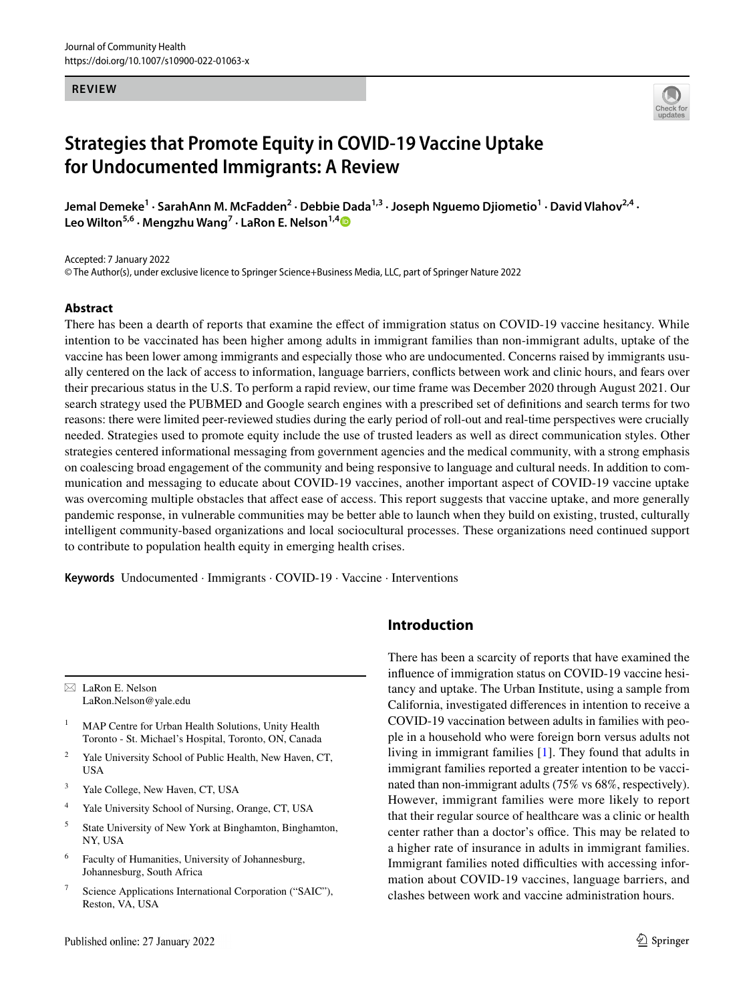#### **REVIEW**



# **Strategies that Promote Equity in COVID‑19 Vaccine Uptake for Undocumented Immigrants: A Review**

Jemal Demeke<sup>1</sup> · SarahAnn M. McFadden<sup>2</sup> · Debbie Dada<sup>1,3</sup> · Joseph Nguemo Djiometio<sup>1</sup> · David Vlahov<sup>2,4</sup> · **Leo Wilton5,6 · Mengzhu Wang7 · LaRon E. Nelson1,[4](http://orcid.org/0000-0002-2630-602X)**

Accepted: 7 January 2022

© The Author(s), under exclusive licence to Springer Science+Business Media, LLC, part of Springer Nature 2022

## **Abstract**

There has been a dearth of reports that examine the efect of immigration status on COVID-19 vaccine hesitancy. While intention to be vaccinated has been higher among adults in immigrant families than non-immigrant adults, uptake of the vaccine has been lower among immigrants and especially those who are undocumented. Concerns raised by immigrants usually centered on the lack of access to information, language barriers, conficts between work and clinic hours, and fears over their precarious status in the U.S. To perform a rapid review, our time frame was December 2020 through August 2021. Our search strategy used the PUBMED and Google search engines with a prescribed set of defnitions and search terms for two reasons: there were limited peer-reviewed studies during the early period of roll-out and real-time perspectives were crucially needed. Strategies used to promote equity include the use of trusted leaders as well as direct communication styles. Other strategies centered informational messaging from government agencies and the medical community, with a strong emphasis on coalescing broad engagement of the community and being responsive to language and cultural needs. In addition to communication and messaging to educate about COVID-19 vaccines, another important aspect of COVID-19 vaccine uptake was overcoming multiple obstacles that afect ease of access. This report suggests that vaccine uptake, and more generally pandemic response, in vulnerable communities may be better able to launch when they build on existing, trusted, culturally intelligent community-based organizations and local sociocultural processes. These organizations need continued support to contribute to population health equity in emerging health crises.

**Keywords** Undocumented · Immigrants · COVID-19 · Vaccine · Interventions

 $\boxtimes$  LaRon E. Nelson LaRon.Nelson@yale.edu

<sup>1</sup> MAP Centre for Urban Health Solutions, Unity Health Toronto - St. Michael's Hospital, Toronto, ON, Canada

- <sup>2</sup> Yale University School of Public Health, New Haven, CT, USA
- <sup>3</sup> Yale College, New Haven, CT, USA
- <sup>4</sup> Yale University School of Nursing, Orange, CT, USA
- <sup>5</sup> State University of New York at Binghamton, Binghamton, NY, USA
- <sup>6</sup> Faculty of Humanities, University of Johannesburg, Johannesburg, South Africa
- Science Applications International Corporation ("SAIC"), Reston, VA, USA

# **Introduction**

There has been a scarcity of reports that have examined the infuence of immigration status on COVID-19 vaccine hesitancy and uptake. The Urban Institute, using a sample from California, investigated diferences in intention to receive a COVID-19 vaccination between adults in families with people in a household who were foreign born versus adults not living in immigrant families [[1\]](#page-6-0). They found that adults in immigrant families reported a greater intention to be vaccinated than non-immigrant adults (75% vs 68%, respectively). However, immigrant families were more likely to report that their regular source of healthcare was a clinic or health center rather than a doctor's office. This may be related to a higher rate of insurance in adults in immigrant families. Immigrant families noted difficulties with accessing information about COVID-19 vaccines, language barriers, and clashes between work and vaccine administration hours.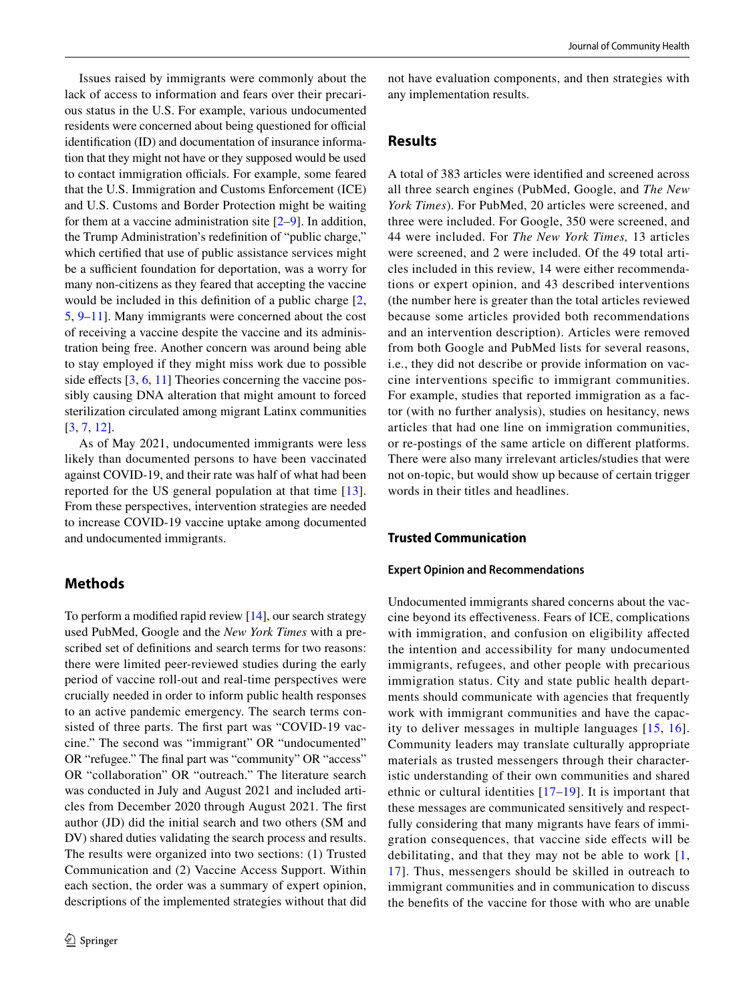Issues raised by immigrants were commonly about the lack of access to information and fears over their precarious status in the U.S. For example, various undocumented residents were concerned about being questioned for official identifcation (ID) and documentation of insurance information that they might not have or they supposed would be used to contact immigration officials. For example, some feared that the U.S. Immigration and Customs Enforcement (ICE) and U.S. Customs and Border Protection might be waiting for them at a vaccine administration site  $[2-9]$  $[2-9]$  $[2-9]$ . In addition, the Trump Administration's redefnition of "public charge," which certifed that use of public assistance services might be a sufficient foundation for deportation, was a worry for many non-citizens as they feared that accepting the vaccine would be included in this defnition of a public charge [[2,](#page-6-1) [5](#page-6-2), [9](#page-7-0)–[11\]](#page-7-1). Many immigrants were concerned about the cost of receiving a vaccine despite the vaccine and its administration being free. Another concern was around being able to stay employed if they might miss work due to possible side effects  $[3, 6, 11]$  $[3, 6, 11]$  $[3, 6, 11]$  $[3, 6, 11]$  $[3, 6, 11]$  $[3, 6, 11]$  $[3, 6, 11]$  Theories concerning the vaccine possibly causing DNA alteration that might amount to forced sterilization circulated among migrant Latinx communities [\[3](#page-6-3), [7](#page-7-3), [12\]](#page-7-4).

As of May 2021, undocumented immigrants were less likely than documented persons to have been vaccinated against COVID-19, and their rate was half of what had been reported for the US general population at that time [[13](#page-7-5)]. From these perspectives, intervention strategies are needed to increase COVID-19 vaccine uptake among documented and undocumented immigrants.

# **Methods**

To perform a modifed rapid review [\[14](#page-7-6)], our search strategy used PubMed, Google and the *New York Times* with a prescribed set of defnitions and search terms for two reasons: there were limited peer-reviewed studies during the early period of vaccine roll-out and real-time perspectives were crucially needed in order to inform public health responses to an active pandemic emergency. The search terms consisted of three parts. The frst part was "COVID-19 vaccine." The second was "immigrant" OR "undocumented" OR "refugee." The fnal part was "community" OR "access" OR "collaboration" OR "outreach." The literature search was conducted in July and August 2021 and included articles from December 2020 through August 2021. The frst author (JD) did the initial search and two others (SM and DV) shared duties validating the search process and results. The results were organized into two sections: (1) Trusted Communication and (2) Vaccine Access Support. Within each section, the order was a summary of expert opinion, descriptions of the implemented strategies without that did not have evaluation components, and then strategies with any implementation results.

# **Results**

A total of 383 articles were identifed and screened across all three search engines (PubMed, Google, and *The New York Times*). For PubMed, 20 articles were screened, and three were included. For Google, 350 were screened, and 44 were included. For *The New York Times,* 13 articles were screened, and 2 were included. Of the 49 total articles included in this review, 14 were either recommendations or expert opinion, and 43 described interventions (the number here is greater than the total articles reviewed because some articles provided both recommendations and an intervention description). Articles were removed from both Google and PubMed lists for several reasons, i.e., they did not describe or provide information on vaccine interventions specifc to immigrant communities. For example, studies that reported immigration as a factor (with no further analysis), studies on hesitancy, news articles that had one line on immigration communities, or re-postings of the same article on diferent platforms. There were also many irrelevant articles/studies that were not on-topic, but would show up because of certain trigger words in their titles and headlines.

## **Trusted Communication**

#### **Expert Opinion and Recommendations**

Undocumented immigrants shared concerns about the vaccine beyond its efectiveness. Fears of ICE, complications with immigration, and confusion on eligibility affected the intention and accessibility for many undocumented immigrants, refugees, and other people with precarious immigration status. City and state public health departments should communicate with agencies that frequently work with immigrant communities and have the capacity to deliver messages in multiple languages [[15](#page-7-7), [16](#page-7-8)]. Community leaders may translate culturally appropriate materials as trusted messengers through their characteristic understanding of their own communities and shared ethnic or cultural identities [\[17](#page-7-9)[–19\]](#page-7-10). It is important that these messages are communicated sensitively and respectfully considering that many migrants have fears of immigration consequences, that vaccine side efects will be debilitating, and that they may not be able to work [\[1,](#page-6-0) [17\]](#page-7-9). Thus, messengers should be skilled in outreach to immigrant communities and in communication to discuss the benefts of the vaccine for those with who are unable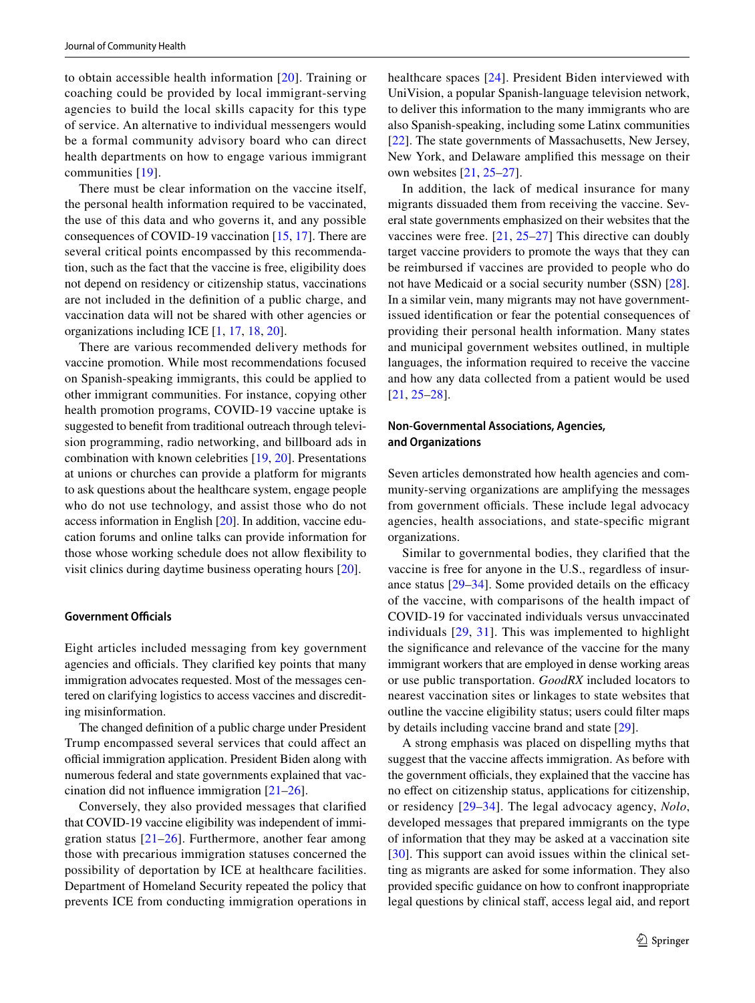to obtain accessible health information [[20](#page-7-11)]. Training or coaching could be provided by local immigrant-serving agencies to build the local skills capacity for this type of service. An alternative to individual messengers would be a formal community advisory board who can direct health departments on how to engage various immigrant communities [[19](#page-7-10)].

There must be clear information on the vaccine itself, the personal health information required to be vaccinated, the use of this data and who governs it, and any possible consequences of COVID-19 vaccination [\[15](#page-7-7), [17](#page-7-9)]. There are several critical points encompassed by this recommendation, such as the fact that the vaccine is free, eligibility does not depend on residency or citizenship status, vaccinations are not included in the defnition of a public charge, and vaccination data will not be shared with other agencies or organizations including ICE [\[1](#page-6-0), [17,](#page-7-9) [18,](#page-7-12) [20\]](#page-7-11).

There are various recommended delivery methods for vaccine promotion. While most recommendations focused on Spanish-speaking immigrants, this could be applied to other immigrant communities. For instance, copying other health promotion programs, COVID-19 vaccine uptake is suggested to beneft from traditional outreach through television programming, radio networking, and billboard ads in combination with known celebrities [[19,](#page-7-10) [20\]](#page-7-11). Presentations at unions or churches can provide a platform for migrants to ask questions about the healthcare system, engage people who do not use technology, and assist those who do not access information in English [\[20](#page-7-11)]. In addition, vaccine education forums and online talks can provide information for those whose working schedule does not allow fexibility to visit clinics during daytime business operating hours [\[20](#page-7-11)].

## **Government Officials**

Eight articles included messaging from key government agencies and officials. They clarified key points that many immigration advocates requested. Most of the messages centered on clarifying logistics to access vaccines and discrediting misinformation.

The changed defnition of a public charge under President Trump encompassed several services that could afect an official immigration application. President Biden along with numerous federal and state governments explained that vaccination did not infuence immigration [\[21](#page-7-13)[–26](#page-7-14)].

Conversely, they also provided messages that clarifed that COVID-19 vaccine eligibility was independent of immigration status [\[21–](#page-7-13)[26](#page-7-14)]. Furthermore, another fear among those with precarious immigration statuses concerned the possibility of deportation by ICE at healthcare facilities. Department of Homeland Security repeated the policy that prevents ICE from conducting immigration operations in healthcare spaces [\[24\]](#page-7-15). President Biden interviewed with UniVision, a popular Spanish-language television network, to deliver this information to the many immigrants who are also Spanish-speaking, including some Latinx communities [[22\]](#page-7-16). The state governments of Massachusetts, New Jersey, New York, and Delaware amplifed this message on their own websites [\[21](#page-7-13), [25](#page-7-17)[–27\]](#page-7-18).

In addition, the lack of medical insurance for many migrants dissuaded them from receiving the vaccine. Several state governments emphasized on their websites that the vaccines were free. [[21,](#page-7-13) [25–](#page-7-17)[27\]](#page-7-18) This directive can doubly target vaccine providers to promote the ways that they can be reimbursed if vaccines are provided to people who do not have Medicaid or a social security number (SSN) [\[28](#page-7-19)]. In a similar vein, many migrants may not have governmentissued identifcation or fear the potential consequences of providing their personal health information. Many states and municipal government websites outlined, in multiple languages, the information required to receive the vaccine and how any data collected from a patient would be used [[21,](#page-7-13) [25–](#page-7-17)[28\]](#page-7-19).

## **Non‑Governmental Associations, Agencies, and Organizations**

Seven articles demonstrated how health agencies and community-serving organizations are amplifying the messages from government officials. These include legal advocacy agencies, health associations, and state-specifc migrant organizations.

Similar to governmental bodies, they clarifed that the vaccine is free for anyone in the U.S., regardless of insurance status  $[29-34]$  $[29-34]$  $[29-34]$ . Some provided details on the efficacy of the vaccine, with comparisons of the health impact of COVID-19 for vaccinated individuals versus unvaccinated individuals [[29](#page-7-20), [31\]](#page-7-22). This was implemented to highlight the signifcance and relevance of the vaccine for the many immigrant workers that are employed in dense working areas or use public transportation. *GoodRX* included locators to nearest vaccination sites or linkages to state websites that outline the vaccine eligibility status; users could flter maps by details including vaccine brand and state [[29](#page-7-20)].

A strong emphasis was placed on dispelling myths that suggest that the vaccine affects immigration. As before with the government officials, they explained that the vaccine has no efect on citizenship status, applications for citizenship, or residency [\[29–](#page-7-20)[34](#page-7-21)]. The legal advocacy agency, *Nolo*, developed messages that prepared immigrants on the type of information that they may be asked at a vaccination site [[30\]](#page-7-23). This support can avoid issues within the clinical setting as migrants are asked for some information. They also provided specifc guidance on how to confront inappropriate legal questions by clinical staff, access legal aid, and report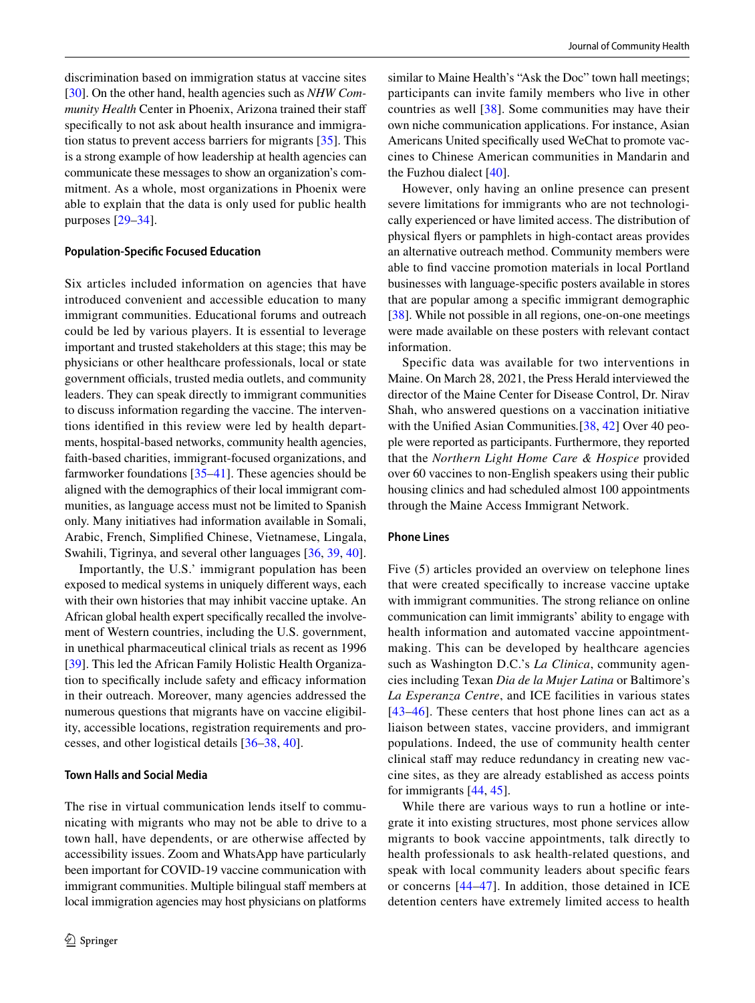discrimination based on immigration status at vaccine sites [\[30](#page-7-23)]. On the other hand, health agencies such as *NHW Community Health* Center in Phoenix, Arizona trained their staf specifcally to not ask about health insurance and immigration status to prevent access barriers for migrants [\[35](#page-7-24)]. This is a strong example of how leadership at health agencies can communicate these messages to show an organization's commitment. As a whole, most organizations in Phoenix were able to explain that the data is only used for public health purposes [[29](#page-7-20)[–34](#page-7-21)].

#### **Population‑Specifc Focused Education**

Six articles included information on agencies that have introduced convenient and accessible education to many immigrant communities. Educational forums and outreach could be led by various players. It is essential to leverage important and trusted stakeholders at this stage; this may be physicians or other healthcare professionals, local or state government officials, trusted media outlets, and community leaders. They can speak directly to immigrant communities to discuss information regarding the vaccine. The interventions identifed in this review were led by health departments, hospital-based networks, community health agencies, faith-based charities, immigrant-focused organizations, and farmworker foundations  $[35-41]$  $[35-41]$ . These agencies should be aligned with the demographics of their local immigrant communities, as language access must not be limited to Spanish only. Many initiatives had information available in Somali, Arabic, French, Simplifed Chinese, Vietnamese, Lingala, Swahili, Tigrinya, and several other languages [\[36](#page-8-1), [39](#page-8-2), [40](#page-8-3)].

Importantly, the U.S.' immigrant population has been exposed to medical systems in uniquely diferent ways, each with their own histories that may inhibit vaccine uptake. An African global health expert specifcally recalled the involvement of Western countries, including the U.S. government, in unethical pharmaceutical clinical trials as recent as 1996 [\[39](#page-8-2)]. This led the African Family Holistic Health Organization to specifically include safety and efficacy information in their outreach. Moreover, many agencies addressed the numerous questions that migrants have on vaccine eligibility, accessible locations, registration requirements and processes, and other logistical details [\[36](#page-8-1)[–38,](#page-8-4) [40\]](#page-8-3).

#### **Town Halls and Social Media**

The rise in virtual communication lends itself to communicating with migrants who may not be able to drive to a town hall, have dependents, or are otherwise afected by accessibility issues. Zoom and WhatsApp have particularly been important for COVID-19 vaccine communication with immigrant communities. Multiple bilingual staff members at local immigration agencies may host physicians on platforms

similar to Maine Health's "Ask the Doc" town hall meetings; participants can invite family members who live in other countries as well [\[38\]](#page-8-4). Some communities may have their own niche communication applications. For instance, Asian Americans United specifcally used WeChat to promote vaccines to Chinese American communities in Mandarin and the Fuzhou dialect [[40\]](#page-8-3).

However, only having an online presence can present severe limitations for immigrants who are not technologically experienced or have limited access. The distribution of physical fyers or pamphlets in high-contact areas provides an alternative outreach method. Community members were able to fnd vaccine promotion materials in local Portland businesses with language-specifc posters available in stores that are popular among a specifc immigrant demographic [\[38](#page-8-4)]. While not possible in all regions, one-on-one meetings were made available on these posters with relevant contact information.

Specific data was available for two interventions in Maine. On March 28, 2021, the Press Herald interviewed the director of the Maine Center for Disease Control, Dr. Nirav Shah, who answered questions on a vaccination initiative with the Unifed Asian Communities*.*[\[38,](#page-8-4) [42\]](#page-8-5) Over 40 people were reported as participants. Furthermore, they reported that the *Northern Light Home Care & Hospice* provided over 60 vaccines to non-English speakers using their public housing clinics and had scheduled almost 100 appointments through the Maine Access Immigrant Network.

#### **Phone Lines**

Five (5) articles provided an overview on telephone lines that were created specifcally to increase vaccine uptake with immigrant communities. The strong reliance on online communication can limit immigrants' ability to engage with health information and automated vaccine appointmentmaking. This can be developed by healthcare agencies such as Washington D.C.'s *La Clinica*, community agencies including Texan *Dia de la Mujer Latina* or Baltimore's *La Esperanza Centre*, and ICE facilities in various states [[43–](#page-8-6)[46](#page-8-7)]. These centers that host phone lines can act as a liaison between states, vaccine providers, and immigrant populations. Indeed, the use of community health center clinical staff may reduce redundancy in creating new vaccine sites, as they are already established as access points for immigrants [[44](#page-8-8), [45](#page-8-9)].

While there are various ways to run a hotline or integrate it into existing structures, most phone services allow migrants to book vaccine appointments, talk directly to health professionals to ask health-related questions, and speak with local community leaders about specifc fears or concerns [[44](#page-8-8)[–47\]](#page-8-10). In addition, those detained in ICE detention centers have extremely limited access to health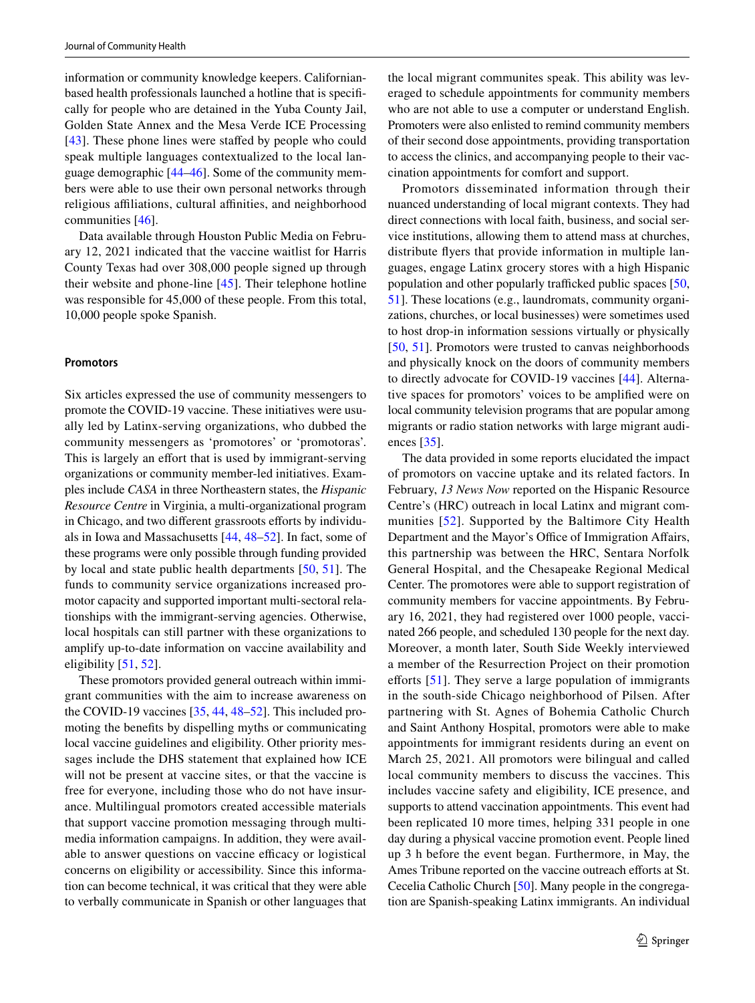information or community knowledge keepers. Californianbased health professionals launched a hotline that is specifcally for people who are detained in the Yuba County Jail, Golden State Annex and the Mesa Verde ICE Processing [\[43\]](#page-8-6). These phone lines were stafed by people who could speak multiple languages contextualized to the local language demographic [[44–](#page-8-8)[46\]](#page-8-7). Some of the community members were able to use their own personal networks through religious affiliations, cultural affinities, and neighborhood communities [[46](#page-8-7)].

Data available through Houston Public Media on February 12, 2021 indicated that the vaccine waitlist for Harris County Texas had over 308,000 people signed up through their website and phone-line [\[45](#page-8-9)]. Their telephone hotline was responsible for 45,000 of these people. From this total, 10,000 people spoke Spanish.

#### **Promotors**

Six articles expressed the use of community messengers to promote the COVID-19 vaccine. These initiatives were usually led by Latinx-serving organizations, who dubbed the community messengers as 'promotores' or 'promotoras'. This is largely an effort that is used by immigrant-serving organizations or community member-led initiatives. Examples include *CASA* in three Northeastern states, the *Hispanic Resource Centre* in Virginia, a multi-organizational program in Chicago, and two different grassroots efforts by individuals in Iowa and Massachusetts [[44,](#page-8-8) [48–](#page-8-11)[52](#page-8-12)]. In fact, some of these programs were only possible through funding provided by local and state public health departments [[50](#page-8-13), [51\]](#page-8-14). The funds to community service organizations increased promotor capacity and supported important multi-sectoral relationships with the immigrant-serving agencies. Otherwise, local hospitals can still partner with these organizations to amplify up-to-date information on vaccine availability and eligibility [\[51](#page-8-14), [52](#page-8-12)].

These promotors provided general outreach within immigrant communities with the aim to increase awareness on the COVID-19 vaccines [[35,](#page-7-24) [44,](#page-8-8) [48](#page-8-11)[–52](#page-8-12)]. This included promoting the benefts by dispelling myths or communicating local vaccine guidelines and eligibility. Other priority messages include the DHS statement that explained how ICE will not be present at vaccine sites, or that the vaccine is free for everyone, including those who do not have insurance. Multilingual promotors created accessible materials that support vaccine promotion messaging through multimedia information campaigns. In addition, they were available to answer questions on vaccine efficacy or logistical concerns on eligibility or accessibility. Since this information can become technical, it was critical that they were able to verbally communicate in Spanish or other languages that the local migrant communites speak. This ability was leveraged to schedule appointments for community members who are not able to use a computer or understand English. Promoters were also enlisted to remind community members of their second dose appointments, providing transportation to access the clinics, and accompanying people to their vaccination appointments for comfort and support.

Promotors disseminated information through their nuanced understanding of local migrant contexts. They had direct connections with local faith, business, and social service institutions, allowing them to attend mass at churches, distribute fyers that provide information in multiple languages, engage Latinx grocery stores with a high Hispanic population and other popularly trafficked public spaces [[50,](#page-8-13) [51](#page-8-14)]. These locations (e.g., laundromats, community organizations, churches, or local businesses) were sometimes used to host drop-in information sessions virtually or physically [[50,](#page-8-13) [51](#page-8-14)]. Promotors were trusted to canvas neighborhoods and physically knock on the doors of community members to directly advocate for COVID-19 vaccines [[44\]](#page-8-8). Alternative spaces for promotors' voices to be amplifed were on local community television programs that are popular among migrants or radio station networks with large migrant audiences [\[35\]](#page-7-24).

The data provided in some reports elucidated the impact of promotors on vaccine uptake and its related factors. In February, *13 News Now* reported on the Hispanic Resource Centre's (HRC) outreach in local Latinx and migrant communities [[52](#page-8-12)]. Supported by the Baltimore City Health Department and the Mayor's Office of Immigration Affairs, this partnership was between the HRC, Sentara Norfolk General Hospital, and the Chesapeake Regional Medical Center. The promotores were able to support registration of community members for vaccine appointments. By February 16, 2021, they had registered over 1000 people, vaccinated 266 people, and scheduled 130 people for the next day. Moreover, a month later, South Side Weekly interviewed a member of the Resurrection Project on their promotion efforts  $[51]$ . They serve a large population of immigrants in the south-side Chicago neighborhood of Pilsen. After partnering with St. Agnes of Bohemia Catholic Church and Saint Anthony Hospital, promotors were able to make appointments for immigrant residents during an event on March 25, 2021. All promotors were bilingual and called local community members to discuss the vaccines. This includes vaccine safety and eligibility, ICE presence, and supports to attend vaccination appointments. This event had been replicated 10 more times, helping 331 people in one day during a physical vaccine promotion event. People lined up 3 h before the event began. Furthermore, in May, the Ames Tribune reported on the vaccine outreach efforts at St. Cecelia Catholic Church [[50](#page-8-13)]. Many people in the congregation are Spanish-speaking Latinx immigrants. An individual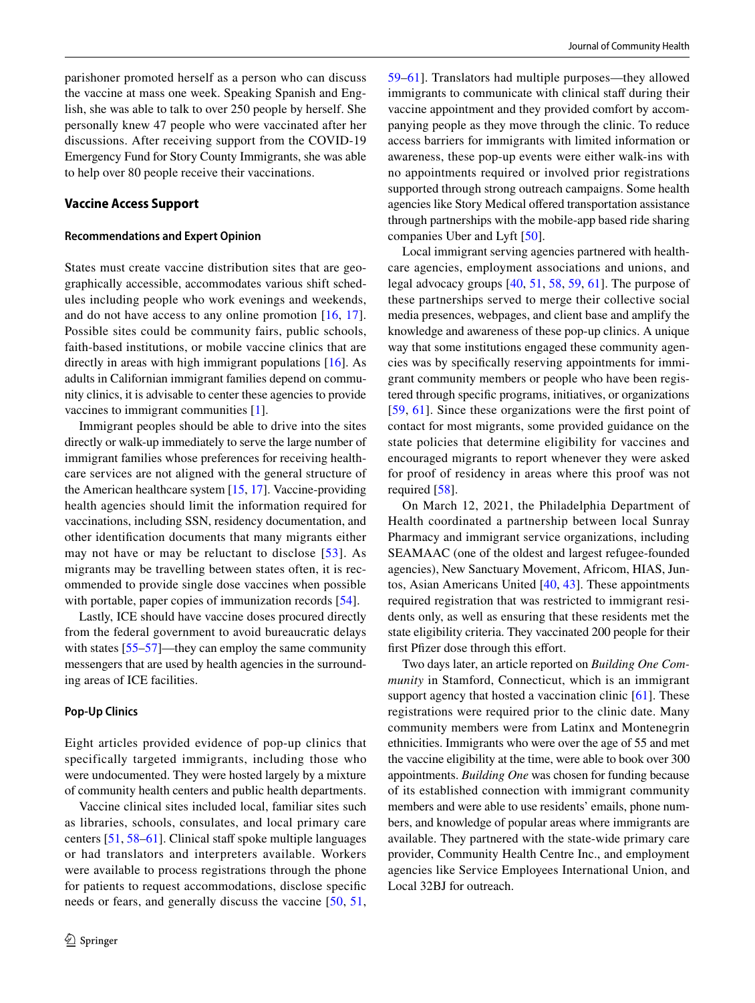parishoner promoted herself as a person who can discuss the vaccine at mass one week. Speaking Spanish and English, she was able to talk to over 250 people by herself. She personally knew 47 people who were vaccinated after her discussions. After receiving support from the COVID-19 Emergency Fund for Story County Immigrants, she was able to help over 80 people receive their vaccinations.

#### **Vaccine Access Support**

#### **Recommendations and Expert Opinion**

States must create vaccine distribution sites that are geographically accessible, accommodates various shift schedules including people who work evenings and weekends, and do not have access to any online promotion [[16](#page-7-8), [17](#page-7-9)]. Possible sites could be community fairs, public schools, faith-based institutions, or mobile vaccine clinics that are directly in areas with high immigrant populations [\[16](#page-7-8)]. As adults in Californian immigrant families depend on community clinics, it is advisable to center these agencies to provide vaccines to immigrant communities [[1](#page-6-0)].

Immigrant peoples should be able to drive into the sites directly or walk-up immediately to serve the large number of immigrant families whose preferences for receiving healthcare services are not aligned with the general structure of the American healthcare system [\[15,](#page-7-7) [17\]](#page-7-9). Vaccine-providing health agencies should limit the information required for vaccinations, including SSN, residency documentation, and other identifcation documents that many migrants either may not have or may be reluctant to disclose  $[53]$  $[53]$ . As migrants may be travelling between states often, it is recommended to provide single dose vaccines when possible with portable, paper copies of immunization records [\[54](#page-8-16)].

Lastly, ICE should have vaccine doses procured directly from the federal government to avoid bureaucratic delays with states [\[55](#page-8-17)[–57](#page-8-18)]—they can employ the same community messengers that are used by health agencies in the surrounding areas of ICE facilities.

#### **Pop‑Up Clinics**

Eight articles provided evidence of pop-up clinics that specifically targeted immigrants, including those who were undocumented. They were hosted largely by a mixture of community health centers and public health departments.

Vaccine clinical sites included local, familiar sites such as libraries, schools, consulates, and local primary care centers [\[51](#page-8-14), [58](#page-8-19)[–61](#page-8-20)]. Clinical staf spoke multiple languages or had translators and interpreters available. Workers were available to process registrations through the phone for patients to request accommodations, disclose specifc needs or fears, and generally discuss the vaccine [\[50,](#page-8-13) [51,](#page-8-14) [59](#page-8-21)–[61\]](#page-8-20). Translators had multiple purposes—they allowed immigrants to communicate with clinical staff during their vaccine appointment and they provided comfort by accompanying people as they move through the clinic. To reduce access barriers for immigrants with limited information or awareness, these pop-up events were either walk-ins with no appointments required or involved prior registrations supported through strong outreach campaigns. Some health agencies like Story Medical offered transportation assistance through partnerships with the mobile-app based ride sharing companies Uber and Lyft [\[50](#page-8-13)].

Local immigrant serving agencies partnered with healthcare agencies, employment associations and unions, and legal advocacy groups [[40,](#page-8-3) [51,](#page-8-14) [58](#page-8-19), [59,](#page-8-21) [61\]](#page-8-20). The purpose of these partnerships served to merge their collective social media presences, webpages, and client base and amplify the knowledge and awareness of these pop-up clinics. A unique way that some institutions engaged these community agencies was by specifcally reserving appointments for immigrant community members or people who have been registered through specifc programs, initiatives, or organizations [[59,](#page-8-21) [61\]](#page-8-20). Since these organizations were the first point of contact for most migrants, some provided guidance on the state policies that determine eligibility for vaccines and encouraged migrants to report whenever they were asked for proof of residency in areas where this proof was not required [\[58\]](#page-8-19).

On March 12, 2021, the Philadelphia Department of Health coordinated a partnership between local Sunray Pharmacy and immigrant service organizations, including SEAMAAC (one of the oldest and largest refugee-founded agencies), New Sanctuary Movement, Africom, HIAS, Juntos, Asian Americans United [\[40](#page-8-3), [43\]](#page-8-6). These appointments required registration that was restricted to immigrant residents only, as well as ensuring that these residents met the state eligibility criteria. They vaccinated 200 people for their first Pfizer dose through this effort.

Two days later, an article reported on *Building One Community* in Stamford, Connecticut, which is an immigrant support agency that hosted a vaccination clinic [[61\]](#page-8-20). These registrations were required prior to the clinic date. Many community members were from Latinx and Montenegrin ethnicities. Immigrants who were over the age of 55 and met the vaccine eligibility at the time, were able to book over 300 appointments. *Building One* was chosen for funding because of its established connection with immigrant community members and were able to use residents' emails, phone numbers, and knowledge of popular areas where immigrants are available. They partnered with the state-wide primary care provider, Community Health Centre Inc., and employment agencies like Service Employees International Union, and Local 32BJ for outreach.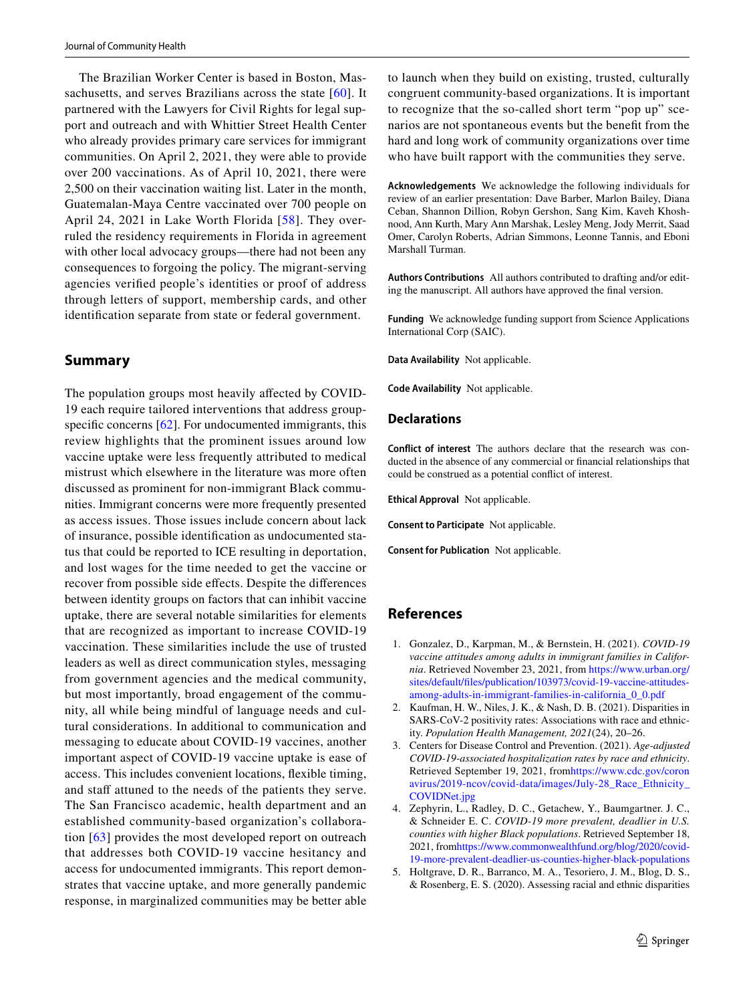The Brazilian Worker Center is based in Boston, Mas-sachusetts, and serves Brazilians across the state [\[60\]](#page-8-22). It partnered with the Lawyers for Civil Rights for legal support and outreach and with Whittier Street Health Center who already provides primary care services for immigrant communities. On April 2, 2021, they were able to provide over 200 vaccinations. As of April 10, 2021, there were 2,500 on their vaccination waiting list. Later in the month, Guatemalan-Maya Centre vaccinated over 700 people on April 24, 2021 in Lake Worth Florida [\[58](#page-8-19)]. They overruled the residency requirements in Florida in agreement with other local advocacy groups—there had not been any consequences to forgoing the policy. The migrant-serving agencies verifed people's identities or proof of address through letters of support, membership cards, and other identifcation separate from state or federal government.

## **Summary**

The population groups most heavily affected by COVID-19 each require tailored interventions that address groupspecific concerns  $[62]$ . For undocumented immigrants, this review highlights that the prominent issues around low vaccine uptake were less frequently attributed to medical mistrust which elsewhere in the literature was more often discussed as prominent for non-immigrant Black communities. Immigrant concerns were more frequently presented as access issues. Those issues include concern about lack of insurance, possible identifcation as undocumented status that could be reported to ICE resulting in deportation, and lost wages for the time needed to get the vaccine or recover from possible side efects. Despite the diferences between identity groups on factors that can inhibit vaccine uptake, there are several notable similarities for elements that are recognized as important to increase COVID-19 vaccination. These similarities include the use of trusted leaders as well as direct communication styles, messaging from government agencies and the medical community, but most importantly, broad engagement of the community, all while being mindful of language needs and cultural considerations. In additional to communication and messaging to educate about COVID-19 vaccines, another important aspect of COVID-19 vaccine uptake is ease of access. This includes convenient locations, fexible timing, and staff attuned to the needs of the patients they serve. The San Francisco academic, health department and an established community-based organization's collaboration [[63](#page-8-24)] provides the most developed report on outreach that addresses both COVID-19 vaccine hesitancy and access for undocumented immigrants. This report demonstrates that vaccine uptake, and more generally pandemic response, in marginalized communities may be better able to launch when they build on existing, trusted, culturally congruent community-based organizations. It is important to recognize that the so-called short term "pop up" scenarios are not spontaneous events but the beneft from the hard and long work of community organizations over time who have built rapport with the communities they serve.

**Acknowledgements** We acknowledge the following individuals for review of an earlier presentation: Dave Barber, Marlon Bailey, Diana Ceban, Shannon Dillion, Robyn Gershon, Sang Kim, Kaveh Khoshnood, Ann Kurth, Mary Ann Marshak, Lesley Meng, Jody Merrit, Saad Omer, Carolyn Roberts, Adrian Simmons, Leonne Tannis, and Eboni Marshall Turman.

**Authors Contributions** All authors contributed to drafting and/or editing the manuscript. All authors have approved the fnal version.

**Funding** We acknowledge funding support from Science Applications International Corp (SAIC).

**Data Availability** Not applicable.

**Code Availability** Not applicable.

#### **Declarations**

**Conflict of interest** The authors declare that the research was conducted in the absence of any commercial or fnancial relationships that could be construed as a potential confict of interest.

**Ethical Approval** Not applicable.

**Consent to Participate** Not applicable.

**Consent for Publication** Not applicable.

## **References**

- <span id="page-6-0"></span>1. Gonzalez, D., Karpman, M., & Bernstein, H. (2021). *COVID-19 vaccine attitudes among adults in immigrant families in California*. Retrieved November 23, 2021, from [https://www.urban.org/](https://www.urban.org/sites/default/files/publication/103973/covid-19-vaccine-attitudes-among-adults-in-immigrant-families-in-california_0_0.pdf) [sites/default/fles/publication/103973/covid-19-vaccine-attitudes](https://www.urban.org/sites/default/files/publication/103973/covid-19-vaccine-attitudes-among-adults-in-immigrant-families-in-california_0_0.pdf)[among-adults-in-immigrant-families-in-california\\_0\\_0.pdf](https://www.urban.org/sites/default/files/publication/103973/covid-19-vaccine-attitudes-among-adults-in-immigrant-families-in-california_0_0.pdf)
- <span id="page-6-1"></span>2. Kaufman, H. W., Niles, J. K., & Nash, D. B. (2021). Disparities in SARS-CoV-2 positivity rates: Associations with race and ethnicity. *Population Health Management, 2021*(24), 20–26.
- <span id="page-6-3"></span>3. Centers for Disease Control and Prevention. (2021). *Age-adjusted COVID-19-associated hospitalization rates by race and ethnicity*. Retrieved September 19, 2021, fro[mhttps://www.cdc.gov/coron](https://www.cdc.gov/coronavirus/2019-ncov/covid-data/images/July-28_Race_Ethnicity_COVIDNet.jpg) [avirus/2019-ncov/covid-data/images/July-28\\_Race\\_Ethnicity\\_](https://www.cdc.gov/coronavirus/2019-ncov/covid-data/images/July-28_Race_Ethnicity_COVIDNet.jpg) [COVIDNet.jpg](https://www.cdc.gov/coronavirus/2019-ncov/covid-data/images/July-28_Race_Ethnicity_COVIDNet.jpg)
- 4. Zephyrin, L., Radley, D. C., Getachew, Y., Baumgartner. J. C., & Schneider E. C. *COVID-19 more prevalent, deadlier in U.S. counties with higher Black populations*. Retrieved September 18, 2021, fro[mhttps://www.commonwealthfund.org/blog/2020/covid-](https://www.commonwealthfund.org/blog/2020/covid-19-more-prevalent-deadlier-us-counties-higher-black-populations)[19-more-prevalent-deadlier-us-counties-higher-black-populations](https://www.commonwealthfund.org/blog/2020/covid-19-more-prevalent-deadlier-us-counties-higher-black-populations)
- <span id="page-6-2"></span>5. Holtgrave, D. R., Barranco, M. A., Tesoriero, J. M., Blog, D. S., & Rosenberg, E. S. (2020). Assessing racial and ethnic disparities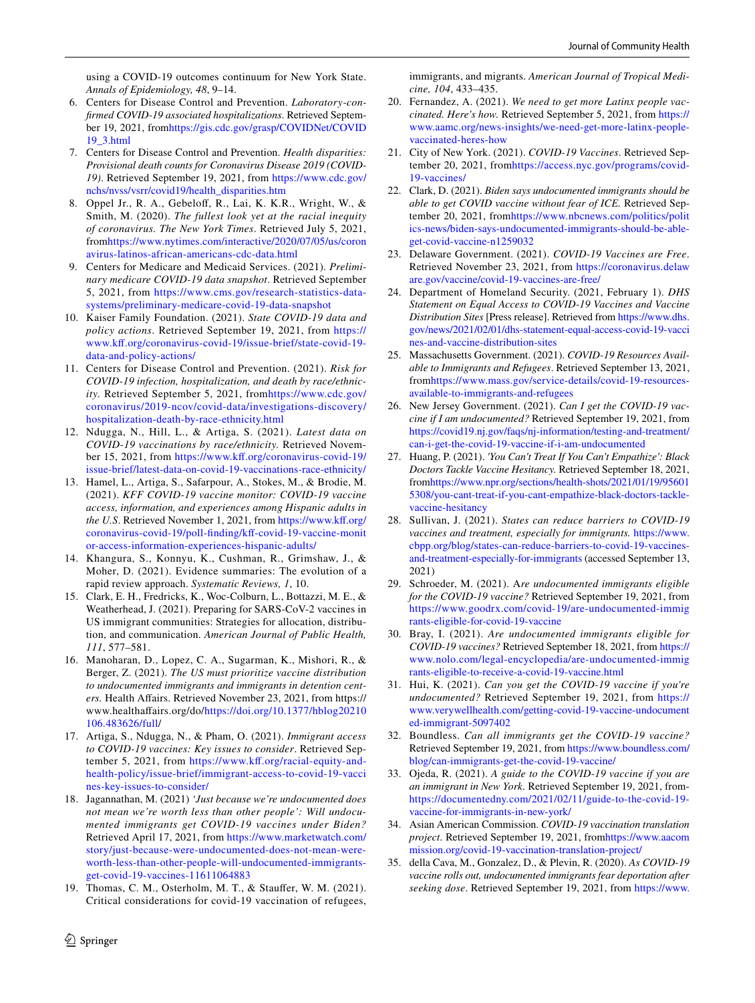using a COVID-19 outcomes continuum for New York State. *Annals of Epidemiology, 48*, 9–14.

- <span id="page-7-2"></span>6. Centers for Disease Control and Prevention. *Laboratory-confrmed COVID-19 associated hospitalizations*. Retrieved September 19, 2021, fro[mhttps://gis.cdc.gov/grasp/COVIDNet/COVID](https://gis.cdc.gov/grasp/COVIDNet/COVID19_3.html) [19\\_3.html](https://gis.cdc.gov/grasp/COVIDNet/COVID19_3.html)
- <span id="page-7-3"></span>7. Centers for Disease Control and Prevention. *Health disparities: Provisional death counts for Coronavirus Disease 2019 (COVID-19)*. Retrieved September 19, 2021, from [https://www.cdc.gov/](https://www.cdc.gov/nchs/nvss/vsrr/covid19/health_disparities.htm) [nchs/nvss/vsrr/covid19/health\\_disparities.htm](https://www.cdc.gov/nchs/nvss/vsrr/covid19/health_disparities.htm)
- 8. Oppel Jr., R. A., Gebelof, R., Lai, K. K.R., Wright, W., & Smith, M. (2020). *The fullest look yet at the racial inequity of coronavirus. The New York Times*. Retrieved July 5, 2021, from[https://www.nytimes.com/interactive/2020/07/05/us/coron](https://www.nytimes.com/interactive/2020/07/05/us/coronavirus-latinos-african-americans-cdc-data.html) [avirus-latinos-african-americans-cdc-data.html](https://www.nytimes.com/interactive/2020/07/05/us/coronavirus-latinos-african-americans-cdc-data.html)
- <span id="page-7-0"></span>9. Centers for Medicare and Medicaid Services. (2021). *Preliminary medicare COVID-19 data snapshot*. Retrieved September 5, 2021, from [https://www.cms.gov/research-statistics-data](https://www.cms.gov/research-statistics-data-systems/preliminary-medicare-covid-19-data-snapshot)[systems/preliminary-medicare-covid-19-data-snapshot](https://www.cms.gov/research-statistics-data-systems/preliminary-medicare-covid-19-data-snapshot)
- 10. Kaiser Family Foundation. (2021). *State COVID-19 data and policy actions*. Retrieved September 19, 2021, from [https://](https://www.kff.org/coronavirus-covid-19/issue-brief/state-covid-19-data-and-policy-actions/) [www.kf.org/coronavirus-covid-19/issue-brief/state-covid-19](https://www.kff.org/coronavirus-covid-19/issue-brief/state-covid-19-data-and-policy-actions/) [data-and-policy-actions/](https://www.kff.org/coronavirus-covid-19/issue-brief/state-covid-19-data-and-policy-actions/)
- <span id="page-7-1"></span>11. Centers for Disease Control and Prevention. (2021). *Risk for COVID-19 infection, hospitalization, and death by race/ethnicity.* Retrieved September 5, 2021, from[https://www.cdc.gov/](https://www.cdc.gov/coronavirus/2019-ncov/covid-data/investigations-discovery/hospitalization-death-by-race-ethnicity.html) [coronavirus/2019-ncov/covid-data/investigations-discovery/](https://www.cdc.gov/coronavirus/2019-ncov/covid-data/investigations-discovery/hospitalization-death-by-race-ethnicity.html) [hospitalization-death-by-race-ethnicity.html](https://www.cdc.gov/coronavirus/2019-ncov/covid-data/investigations-discovery/hospitalization-death-by-race-ethnicity.html)
- <span id="page-7-4"></span>12. Ndugga, N., Hill, L., & Artiga, S. (2021). *Latest data on COVID-19 vaccinations by race/ethnicity.* Retrieved November 15, 2021, from [https://www.kf.org/coronavirus-covid-19/](https://www.kff.org/coronavirus-covid-19/issue-brief/latest-data-on-covid-19-vaccinations-race-ethnicity/) [issue-brief/latest-data-on-covid-19-vaccinations-race-ethnicity/](https://www.kff.org/coronavirus-covid-19/issue-brief/latest-data-on-covid-19-vaccinations-race-ethnicity/)
- <span id="page-7-5"></span>13. Hamel, L., Artiga, S., Safarpour, A., Stokes, M., & Brodie, M. (2021). *KFF COVID-19 vaccine monitor: COVID-19 vaccine access, information, and experiences among Hispanic adults in the U.S.* Retrieved November 1, 2021, from https://www.kff.org/ [coronavirus-covid-19/poll-fnding/kf-covid-19-vaccine-monit](https://www.kff.org/coronavirus-covid-19/poll-finding/kff-covid-19-vaccine-monitor-access-information-experiences-hispanic-adults/) [or-access-information-experiences-hispanic-adults/](https://www.kff.org/coronavirus-covid-19/poll-finding/kff-covid-19-vaccine-monitor-access-information-experiences-hispanic-adults/)
- <span id="page-7-6"></span>14. Khangura, S., Konnyu, K., Cushman, R., Grimshaw, J., & Moher, D. (2021). Evidence summaries: The evolution of a rapid review approach. *Systematic Reviews, 1*, 10.
- <span id="page-7-7"></span>15. Clark, E. H., Fredricks, K., Woc-Colburn, L., Bottazzi, M. E., & Weatherhead, J. (2021). Preparing for SARS-CoV-2 vaccines in US immigrant communities: Strategies for allocation, distribution, and communication. *American Journal of Public Health, 111*, 577–581.
- <span id="page-7-8"></span>16. Manoharan, D., Lopez, C. A., Sugarman, K., Mishori, R., & Berger, Z. (2021). *The US must prioritize vaccine distribution to undocumented immigrants and immigrants in detention centers.* Health Afairs. Retrieved November 23, 2021, from https:// www.healthafairs.org/do[/https://doi.org/10.1377/hblog20210](https://doi.org/10.1377/hblog20210106.483626/full) [106.483626/full/](https://doi.org/10.1377/hblog20210106.483626/full)
- <span id="page-7-9"></span>17. Artiga, S., Ndugga, N., & Pham, O. (2021). *Immigrant access to COVID-19 vaccines: Key issues to consider*. Retrieved September 5, 2021, from https://www.kff.org/racial-equity-and[health-policy/issue-brief/immigrant-access-to-covid-19-vacci](https://www.kff.org/racial-equity-and-health-policy/issue-brief/immigrant-access-to-covid-19-vaccines-key-issues-to-consider/) [nes-key-issues-to-consider/](https://www.kff.org/racial-equity-and-health-policy/issue-brief/immigrant-access-to-covid-19-vaccines-key-issues-to-consider/)
- <span id="page-7-12"></span>18. Jagannathan, M. (2021) *'Just because we're undocumented does not mean we're worth less than other people': Will undocumented immigrants get COVID-19 vaccines under Biden?* Retrieved April 17, 2021, from [https://www.marketwatch.com/](https://www.marketwatch.com/story/just-because-were-undocumented-does-not-mean-were-worth-less-than-other-people-will-undocumented-immigrants-get-covid-19-vaccines-11611064883) [story/just-because-were-undocumented-does-not-mean-were](https://www.marketwatch.com/story/just-because-were-undocumented-does-not-mean-were-worth-less-than-other-people-will-undocumented-immigrants-get-covid-19-vaccines-11611064883)[worth-less-than-other-people-will-undocumented-immigrants](https://www.marketwatch.com/story/just-because-were-undocumented-does-not-mean-were-worth-less-than-other-people-will-undocumented-immigrants-get-covid-19-vaccines-11611064883)[get-covid-19-vaccines-11611064883](https://www.marketwatch.com/story/just-because-were-undocumented-does-not-mean-were-worth-less-than-other-people-will-undocumented-immigrants-get-covid-19-vaccines-11611064883)
- <span id="page-7-10"></span>19. Thomas, C. M., Osterholm, M. T., & Staufer, W. M. (2021). Critical considerations for covid-19 vaccination of refugees,

[www.aamc.org/news-insights/we-need-get-more-latinx-people](https://www.aamc.org/news-insights/we-need-get-more-latinx-people-vaccinated-heres-how)[vaccinated-heres-how](https://www.aamc.org/news-insights/we-need-get-more-latinx-people-vaccinated-heres-how)

*cine, 104*, 433–435.

<span id="page-7-13"></span>21. City of New York. (2021). *COVID-19 Vaccines*. Retrieved September 20, 2021, from[https://access.nyc.gov/programs/covid-](https://access.nyc.gov/programs/covid-19-vaccines/)[19-vaccines/](https://access.nyc.gov/programs/covid-19-vaccines/)

<span id="page-7-11"></span>20. Fernandez, A. (2021). *We need to get more Latinx people vaccinated. Here's how.* Retrieved September 5, 2021, from [https://](https://www.aamc.org/news-insights/we-need-get-more-latinx-people-vaccinated-heres-how)

immigrants, and migrants. *American Journal of Tropical Medi-*

- <span id="page-7-16"></span>22. Clark, D. (2021). *Biden says undocumented immigrants should be able to get COVID vaccine without fear of ICE.* Retrieved September 20, 2021, fro[mhttps://www.nbcnews.com/politics/polit](https://www.nbcnews.com/politics/politics-news/biden-says-undocumented-immigrants-should-be-able-get-covid-vaccine-n1259032) [ics-news/biden-says-undocumented-immigrants-should-be-able](https://www.nbcnews.com/politics/politics-news/biden-says-undocumented-immigrants-should-be-able-get-covid-vaccine-n1259032)[get-covid-vaccine-n1259032](https://www.nbcnews.com/politics/politics-news/biden-says-undocumented-immigrants-should-be-able-get-covid-vaccine-n1259032)
- 23. Delaware Government. (2021). *COVID-19 Vaccines are Free*. Retrieved November 23, 2021, from [https://coronavirus.delaw](https://coronavirus.delaware.gov/vaccine/covid-19-vaccines-are-free/) [are.gov/vaccine/covid-19-vaccines-are-free/](https://coronavirus.delaware.gov/vaccine/covid-19-vaccines-are-free/)
- <span id="page-7-15"></span>24. Department of Homeland Security. (2021, February 1). *DHS Statement on Equal Access to COVID-19 Vaccines and Vaccine Distribution Sites* [Press release]. Retrieved from [https://www.dhs.](https://www.dhs.gov/news/2021/02/01/dhs-statement-equal-access-covid-19-vaccines-and-vaccine-distribution-sites) [gov/news/2021/02/01/dhs-statement-equal-access-covid-19-vacci](https://www.dhs.gov/news/2021/02/01/dhs-statement-equal-access-covid-19-vaccines-and-vaccine-distribution-sites) [nes-and-vaccine-distribution-sites](https://www.dhs.gov/news/2021/02/01/dhs-statement-equal-access-covid-19-vaccines-and-vaccine-distribution-sites)
- <span id="page-7-17"></span>25. Massachusetts Government. (2021). *COVID-19 Resources Available to Immigrants and Refugees*. Retrieved September 13, 2021, from[https://www.mass.gov/service-details/covid-19-resources](https://www.mass.gov/service-details/covid-19-resources-available-to-immigrants-and-refugees)[available-to-immigrants-and-refugees](https://www.mass.gov/service-details/covid-19-resources-available-to-immigrants-and-refugees)
- <span id="page-7-14"></span>26. New Jersey Government. (2021). *Can I get the COVID-19 vaccine if I am undocumented?* Retrieved September 19, 2021, from [https://covid19.nj.gov/faqs/nj-information/testing-and-treatment/](https://covid19.nj.gov/faqs/nj-information/testing-and-treatment/can-i-get-the-covid-19-vaccine-if-i-am-undocumented) [can-i-get-the-covid-19-vaccine-if-i-am-undocumented](https://covid19.nj.gov/faqs/nj-information/testing-and-treatment/can-i-get-the-covid-19-vaccine-if-i-am-undocumented)
- <span id="page-7-18"></span>27. Huang, P. (2021). *'You Can't Treat If You Can't Empathize': Black Doctors Tackle Vaccine Hesitancy.* Retrieved September 18, 2021, from[https://www.npr.org/sections/health-shots/2021/01/19/95601](https://www.npr.org/sections/health-shots/2021/01/19/956015308/you-cant-treat-if-you-cant-empathize-black-doctors-tackle-vaccine-hesitancy) [5308/you-cant-treat-if-you-cant-empathize-black-doctors-tackle](https://www.npr.org/sections/health-shots/2021/01/19/956015308/you-cant-treat-if-you-cant-empathize-black-doctors-tackle-vaccine-hesitancy)[vaccine-hesitancy](https://www.npr.org/sections/health-shots/2021/01/19/956015308/you-cant-treat-if-you-cant-empathize-black-doctors-tackle-vaccine-hesitancy)
- <span id="page-7-19"></span>28. Sullivan, J. (2021). *States can reduce barriers to COVID-19 vaccines and treatment, especially for immigrants.* [https://www.](https://www.cbpp.org/blog/states-can-reduce-barriers-to-covid-19-vaccines-and-treatment-especially-for-immigrants) [cbpp.org/blog/states-can-reduce-barriers-to-covid-19-vaccines](https://www.cbpp.org/blog/states-can-reduce-barriers-to-covid-19-vaccines-and-treatment-especially-for-immigrants)[and-treatment-especially-for-immigrants](https://www.cbpp.org/blog/states-can-reduce-barriers-to-covid-19-vaccines-and-treatment-especially-for-immigrants) (accessed September 13, 2021)
- <span id="page-7-20"></span>29. Schroeder, M. (2021). A*re undocumented immigrants eligible for the COVID-19 vaccine?* Retrieved September 19, 2021, from [https://www.goodrx.com/covid-19/are-undocumented-immig](https://www.goodrx.com/covid-19/are-undocumented-immigrants-eligible-for-covid-19-vaccine) [rants-eligible-for-covid-19-vaccine](https://www.goodrx.com/covid-19/are-undocumented-immigrants-eligible-for-covid-19-vaccine)
- <span id="page-7-23"></span>30. Bray, I. (2021). *Are undocumented immigrants eligible for COVID-19 vaccines?* Retrieved September 18, 2021, from [https://](https://www.nolo.com/legal-encyclopedia/are-undocumented-immigrants-eligible-to-receive-a-covid-19-vaccine.html) [www.nolo.com/legal-encyclopedia/are-undocumented-immig](https://www.nolo.com/legal-encyclopedia/are-undocumented-immigrants-eligible-to-receive-a-covid-19-vaccine.html) [rants-eligible-to-receive-a-covid-19-vaccine.html](https://www.nolo.com/legal-encyclopedia/are-undocumented-immigrants-eligible-to-receive-a-covid-19-vaccine.html)
- <span id="page-7-22"></span>31. Hui, K. (2021). *Can you get the COVID-19 vaccine if you're undocumented?* Retrieved September 19, 2021, from [https://](https://www.verywellhealth.com/getting-covid-19-vaccine-undocumented-immigrant-5097402) [www.verywellhealth.com/getting-covid-19-vaccine-undocument](https://www.verywellhealth.com/getting-covid-19-vaccine-undocumented-immigrant-5097402) [ed-immigrant-5097402](https://www.verywellhealth.com/getting-covid-19-vaccine-undocumented-immigrant-5097402)
- 32. Boundless. *Can all immigrants get the COVID-19 vaccine?* Retrieved September 19, 2021, from [https://www.boundless.com/](https://www.boundless.com/blog/can-immigrants-get-the-covid-19-vaccine/) [blog/can-immigrants-get-the-covid-19-vaccine/](https://www.boundless.com/blog/can-immigrants-get-the-covid-19-vaccine/)
- 33. Ojeda, R. (2021). *A guide to the COVID-19 vaccine if you are an immigrant in New York.* Retrieved September 19, 2021, from[https://documentedny.com/2021/02/11/guide-to-the-covid-19](https://documentedny.com/2021/02/11/guide-to-the-covid-19-vaccine-for-immigrants-in-new-york/) [vaccine-for-immigrants-in-new-york/](https://documentedny.com/2021/02/11/guide-to-the-covid-19-vaccine-for-immigrants-in-new-york/)
- <span id="page-7-21"></span>34. Asian American Commission. *COVID-19 vaccination translation project*. Retrieved September 19, 2021, from[https://www.aacom](https://www.aacommission.org/covid-19-vaccination-translation-project/) [mission.org/covid-19-vaccination-translation-project/](https://www.aacommission.org/covid-19-vaccination-translation-project/)
- <span id="page-7-24"></span>35. della Cava, M., Gonzalez, D., & Plevin, R. (2020). *As COVID-19 vaccine rolls out, undocumented immigrants fear deportation after seeking dose*. Retrieved September 19, 2021, from [https://www.](https://www.usatoday.com/story/news/nation/2020/12/19/covid-19-vaccine-undocumented-immigrants-fear-getting-dose/3941484001/)